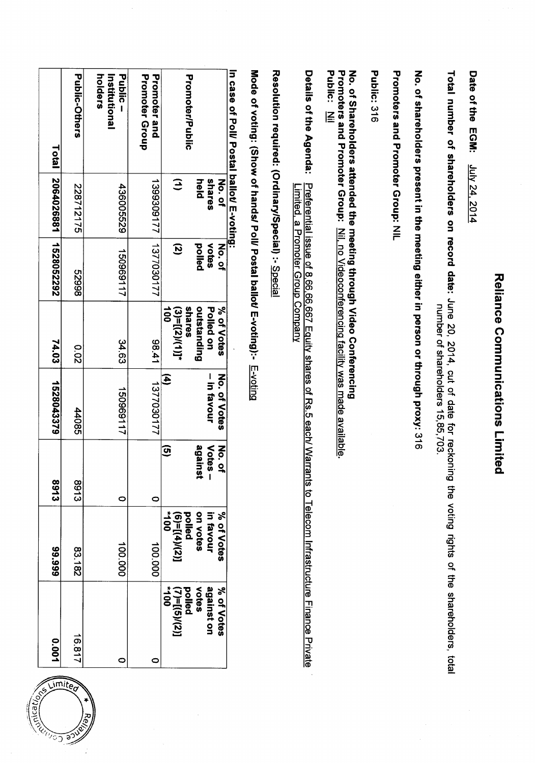| Total<br>2064026881<br>1528052292<br>74.03<br>1528043379<br><b>8913</b> | <b>Public-Others</b><br>228712175<br>86629<br>0.02<br>44085<br><b>8913</b> | Public<br>holders<br>Institutional<br>436005529<br>150969117<br>34.63<br>150969117<br>$\circ$ | Promoter Group<br>Promoter and<br>1799309177<br>177080172<br>14.41<br>1377030177<br>$\circ$ | <b>Promoter/Public</b><br>$\mathbf{G}$<br>held<br>pelled<br>$\mathbf{S}$<br>outstanding<br>shares<br>$\frac{1}{2}$<br>$(3)=[(2)/(1)]^{*}$<br>Ξ<br>against<br>ହ<br>on votes<br>pelled<br>$\overline{5}$ | shares<br>No. of<br>votes<br>No.of<br>% of Votes<br>Polled on<br>No. of Votes<br>- in favour<br>Votes-<br><b>No.</b><br>$\tilde{a}$<br>in favour |
|-------------------------------------------------------------------------|----------------------------------------------------------------------------|-----------------------------------------------------------------------------------------------|---------------------------------------------------------------------------------------------|--------------------------------------------------------------------------------------------------------------------------------------------------------------------------------------------------------|--------------------------------------------------------------------------------------------------------------------------------------------------|
| 89.999                                                                  | 83.182                                                                     | 100.000                                                                                       | 100.000                                                                                     | $[(2)/(t)] = (9)$                                                                                                                                                                                      | % of Votes                                                                                                                                       |
| <b>POO.0</b><br>0050                                                    | 16.817<br><b>Limited</b>                                                   | $\circ$                                                                                       | $\circ$                                                                                     | votes<br>$\ddot{0}$<br>$(7) = [(5)(2)]$<br>pelled                                                                                                                                                      | against on<br>% of Votes                                                                                                                         |

 $\ddot{\cdot}$ 



**Reliance Communications Limited** 

 $\frac{1}{2}$ ł,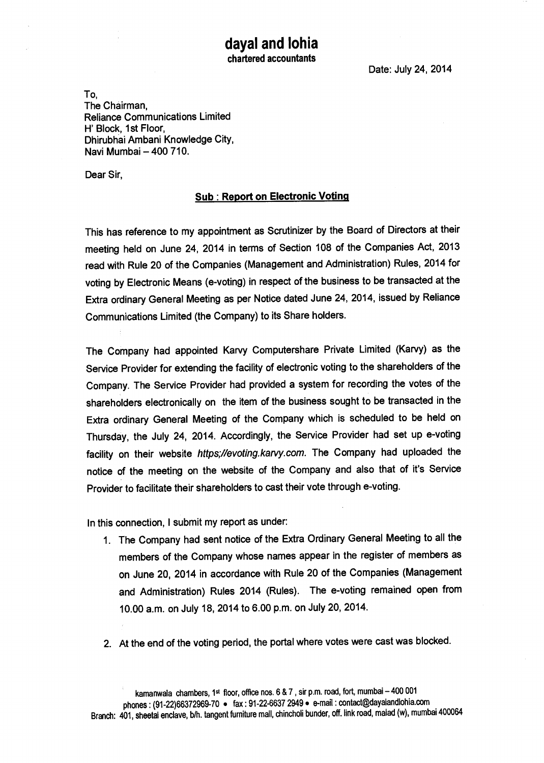## **dayal and lohia chartered accountants**

**Date: July 24, 2014** 

**To, The Chairman, Reliance Communications Limited H' Block, 1st Floor, Dhirubhai Ambani Knowledge City, Nevi Mumbai — 400 710.** 

**Dear Sir,** 

## **Sub : Report on Electronic Voting**

**This has reference to my appointment as Scrutinizer by the Board of Directors at their meeting held on June 24, 2014 in terms of Section 108 of the Companies Act, 2013 read with Rule 20 of the Companies (Management and Administration) Rules, 2014 for voting by Electronic Means (e-voting) in respect of the business to be transacted at the Extra ordinary General Meeting as per Notice dated June 24, 2014, issued by Reliance Communications Limited (the Company) to its Share holders.** 

**The Company had appointed Karvy Computershare Private Limited (Karvy) as the Service Provider for extending the facility of electronic voting to the shareholders of the Company. The Service Provider had provided a system for recording the votes of the shareholders electronically on the item of the business sought to be transacted in the Extra ordinary General Meeting of the Company which is scheduled to be held on Thursday, the July 24, 2014. Accordingly, the Service Provider had set up e-voting facility on their website https;//evoting.karvy.com . The Company had uploaded the notice of the meeting on the website of the Company and also that of it's Service Provider to facilitate their shareholders to cast their vote through e-voting.** 

**In this connection, I submit my report as under:** 

- **1. The Company had sent notice of the Extra Ordinary General Meeting to all the members of the Company whose names appear in the register of members as on June 20, 2014 in accordance with Rule 20 of the Companies (Management and Administration) Rules 2014 (Rules). The e-voting remained open from 10.00 a.m. on July 18, 2014 to 6.00 p.m. on July 20, 2014.**
- **2. At the end of the voting period, the portal where votes were cast was blocked.**